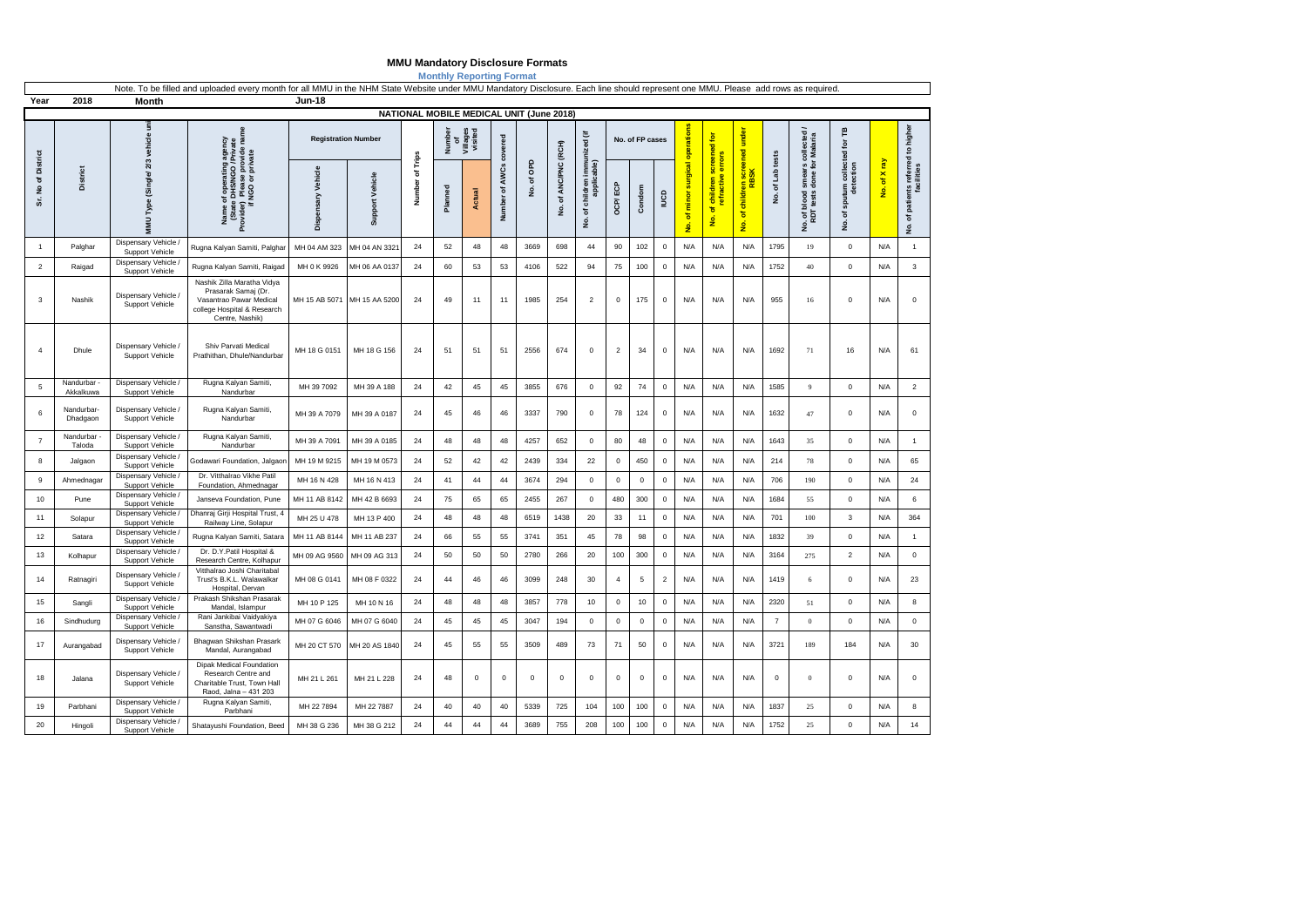## **MMU Mandatory Disclosure Formats**

**Monthly Reporting Format**

| Year               |                          | Note. To be filled and uploaded every month for all MMU in the NHM State Website under MMU Mandatory Disclosure. Each line should represent one MMU. Please add rows as required.<br><b>Jun-18</b><br>2018<br>Month |                                                                                                                                                                                              |                            |                             |                                          |                                     |               |                            |             |                            |                                                      |                 |             |                |                                                |                                                                          |                                              |                          |                                                    |                                             |                                           |                                                      |
|--------------------|--------------------------|---------------------------------------------------------------------------------------------------------------------------------------------------------------------------------------------------------------------|----------------------------------------------------------------------------------------------------------------------------------------------------------------------------------------------|----------------------------|-----------------------------|------------------------------------------|-------------------------------------|---------------|----------------------------|-------------|----------------------------|------------------------------------------------------|-----------------|-------------|----------------|------------------------------------------------|--------------------------------------------------------------------------|----------------------------------------------|--------------------------|----------------------------------------------------|---------------------------------------------|-------------------------------------------|------------------------------------------------------|
|                    |                          |                                                                                                                                                                                                                     |                                                                                                                                                                                              |                            |                             | NATIONAL MOBILE MEDICAL UNIT (June 2018) |                                     |               |                            |             |                            |                                                      |                 |             |                |                                                |                                                                          |                                              |                          |                                                    |                                             |                                           |                                                      |
|                    | District                 | MMU Type (Single/ 2/3 vehicle un                                                                                                                                                                                    | ate<br>name<br>agency<br>s/NGO /Privat<br>ase provide n<br>or private<br>of operating<br>a DHS/NGO /F<br>) Please prov<br>' NGO or priva<br>Name of <i>t</i><br>State D<br>Provider)<br>if h | <b>Registration Number</b> |                             |                                          | Number<br>of<br>Villages<br>visited |               | covered                    |             |                            | immunized (if                                        | No. of FP cases |             | operations     | $\mathbf{\underline{\bar{e}}}$<br>screened     | under<br>ened                                                            |                                              | collected /<br>r Malaria | 巴<br>ē                                             |                                             |                                           |                                                      |
| Sr. No of District |                          |                                                                                                                                                                                                                     |                                                                                                                                                                                              | Vehicle<br>Dispensary      | Support Vehicle             | Number of Trips                          | Planned                             | <b>Actual</b> | <b>AWCs</b><br>৳<br>Number | of OPD<br>ş | of ANC/PNC (RCH)<br>ے<br>ع | applicable<br>children<br>$\mathbf{\tilde{o}}$<br>ş. | OCP/ECI         | Condom      | Ba             | surgical<br>minor<br>$\sigma$<br>$\frac{1}{2}$ | error<br>ractive<br>children<br>Ѣ<br>$\frac{1}{\sigma}$<br>$\frac{1}{2}$ | ren scree<br>RBSK<br>childr<br>$\sigma$<br>£ | of Lab tests<br>ş        | smears c<br>done for<br>blood<br>tests<br>No. of t | collected<br>detection<br>sputum<br>ъ,<br>غ | <b>R</b><br>o f X<br>$\acute{\textbf{g}}$ | of patients referred to higher<br>$\dot{\mathsf{g}}$ |
| $\overline{1}$     | Palghar                  | Dispensary Vehicle /<br>Support Vehicle                                                                                                                                                                             | Rugna Kalyan Samiti, Palghar                                                                                                                                                                 | MH 04 AM 323               | MH 04 AN 332                | 24                                       | 52                                  | 48            | 48                         | 3669        | 698                        | 44                                                   | 90              | 102         | 0              | N/A                                            | N/A                                                                      | N/A                                          | 1795                     | 19                                                 | $\mathsf 0$                                 | N/A                                       | $\mathbf{1}$                                         |
| $\overline{2}$     | Raigad                   | Dispensary Vehicle<br>Support Vehicle                                                                                                                                                                               | Rugna Kalyan Samiti, Raigad                                                                                                                                                                  | MH 0 K 9926                | MH 06 AA 0137               | 24                                       | 60                                  | 53            | 53                         | 4106        | 522                        | 94                                                   | 75              | 100         | $\mathbf 0$    | N/A                                            | N/A                                                                      | N/A                                          | 1752                     | 40                                                 | $\mathsf 0$                                 | N/A                                       | $\mathbf{3}$                                         |
| 3                  | Nashik                   | Dispensary Vehicle<br>Support Vehicle                                                                                                                                                                               | Nashik Zilla Maratha Vidya<br>Prasarak Samaj (Dr.<br>Vasantrao Pawar Medical<br>college Hospital & Research<br>Centre, Nashik)                                                               |                            | MH 15 AB 5071 MH 15 AA 5200 | 24                                       | 49                                  | 11            | 11                         | 1985        | 254                        | $\overline{2}$                                       | $\mathbf 0$     | 175         | $\mathbf 0$    | N/A                                            | N/A                                                                      | N/A                                          | 955                      | 16                                                 | $\mathsf 0$                                 | N/A                                       | $\mathbf 0$                                          |
| $\overline{4}$     | Dhule                    | Dispensary Vehicle /<br>Support Vehicle                                                                                                                                                                             | Shiv Parvati Medical<br>Prathithan, Dhule/Nandurbar                                                                                                                                          | MH 18 G 0151               | MH 18 G 156                 | 24                                       | 51                                  | 51            | 51                         | 2556        | 674                        | $\mathbf 0$                                          | $\overline{2}$  | 34          | 0              | N/A                                            | N/A                                                                      | N/A                                          | 1692                     | 71                                                 | 16                                          | N/A                                       | 61                                                   |
| 5                  | Nandurbar -<br>Akkalkuwa | Dispensary Vehicle<br>Support Vehicle                                                                                                                                                                               | Rugna Kalyan Samiti,<br>Nandurbar                                                                                                                                                            | MH 39 7092                 | MH 39 A 188                 | 24                                       | 42                                  | 45            | 45                         | 3855        | 676                        | $\mathsf 0$                                          | 92              | 74          | $\mathsf 0$    | N/A                                            | N/A                                                                      | N/A                                          | 1585                     | 9                                                  | $\mathsf 0$                                 | N/A                                       | $\mathbf 2$                                          |
| 6                  | Nandurbar-<br>Dhadgaon   | Dispensary Vehicle /<br>Support Vehicle                                                                                                                                                                             | Rugna Kalyan Samiti,<br>Nandurbar                                                                                                                                                            | MH 39 A 7079               | MH 39 A 0187                | 24                                       | 45                                  | 46            | 46                         | 3337        | 790                        | 0                                                    | 78              | 124         | $\mathbf 0$    | N/A                                            | N/A                                                                      | N/A                                          | 1632                     | 47                                                 | $\mathsf 0$                                 | N/A                                       | $\mathbf 0$                                          |
| $\overline{7}$     | Nandurbar<br>Taloda      | Dispensary Vehicle /<br>Support Vehicle                                                                                                                                                                             | Rugna Kalyan Samiti,<br>Nandurbar                                                                                                                                                            | MH 39 A 7091               | MH 39 A 0185                | 24                                       | 48                                  | 48            | 48                         | 4257        | 652                        | $\Omega$                                             | 80              | 48          | $\mathbf 0$    | N/A                                            | N/A                                                                      | N/A                                          | 1643                     | 35                                                 | $\mathbf 0$                                 | N/A                                       | $\overline{1}$                                       |
| 8                  | Jalgaon                  | Dispensary Vehicle<br>Support Vehicle                                                                                                                                                                               | Godawari Foundation, Jalgaon                                                                                                                                                                 | MH 19 M 9215               | MH 19 M 0573                | 24                                       | 52                                  | 42            | 42                         | 2439        | 334                        | 22                                                   | $\mathbf 0$     | 450         | $\mathbf 0$    | N/A                                            | N/A                                                                      | N/A                                          | 214                      | 78                                                 | $\mathsf 0$                                 | N/A                                       | 65                                                   |
| 9                  | Ahmednagar               | Dispensary Vehicle<br>Support Vehicle                                                                                                                                                                               | Dr. Vitthalrao Vikhe Patil<br>Foundation, Ahmednagar                                                                                                                                         | MH 16 N 428                | MH 16 N 413                 | 24                                       | 41                                  | 44            | 44                         | 3674        | 294                        | 0                                                    | $\mathbf 0$     | $\mathbf 0$ | $\mathbf 0$    | N/A                                            | N/A                                                                      | N/A                                          | 706                      | 190                                                | $\mathsf 0$                                 | N/A                                       | 24                                                   |
| 10                 | Pune                     | Dispensary Vehicle<br>Support Vehicle                                                                                                                                                                               | Janseva Foundation, Pune                                                                                                                                                                     | MH 11 AB 8142              | MH 42 B 6693                | 24                                       | 75                                  | 65            | 65                         | 2455        | 267                        | $\mathbf 0$                                          | 480             | 300         | $\mathbf 0$    | N/A                                            | N/A                                                                      | N/A                                          | 1684                     | 55                                                 | $\mathbf 0$                                 | N/A                                       | 6                                                    |
| 11                 | Solapur                  | Dispensary Vehicle /<br>Support Vehicle                                                                                                                                                                             | Dhanraj Girji Hospital Trust, 4<br>Railway Line, Solapur                                                                                                                                     | MH 25 U 478                | MH 13 P 400                 | 24                                       | 48                                  | 48            | 48                         | 6519        | 1438                       | 20                                                   | 33              | 11          | $\mathbf 0$    | N/A                                            | N/A                                                                      | N/A                                          | 701                      | 100                                                | 3                                           | N/A                                       | 364                                                  |
| 12                 | Satara                   | Dispensary Vehicle<br>Support Vehicle                                                                                                                                                                               | Rugna Kalyan Samiti, Satara                                                                                                                                                                  | MH 11 AB 8144              | MH 11 AB 237                | 24                                       | 66                                  | 55            | 55                         | 3741        | 351                        | 45                                                   | 78              | 98          | $\mathbf 0$    | N/A                                            | N/A                                                                      | N/A                                          | 1832                     | 39                                                 | $\mathbf 0$                                 | N/A                                       | $\mathbf{1}$                                         |
| 13                 | Kolhapur                 | Dispensary Vehicle<br>Support Vehicle                                                                                                                                                                               | Dr. D.Y.Patil Hospital &<br>Research Centre, Kolhapur                                                                                                                                        | MH 09 AG 9560              | MH 09 AG 313                | 24                                       | 50                                  | 50            | 50                         | 2780        | 266                        | 20                                                   | 100             | 300         | $\mathbf 0$    | N/A                                            | N/A                                                                      | N/A                                          | 3164                     | 275                                                | $\overline{2}$                              | N/A                                       | $\mathbf 0$                                          |
| 14                 | Ratnagiri                | Dispensary Vehicle<br>Support Vehicle                                                                                                                                                                               | Vitthalrao Joshi Charitabal<br>Trust's B.K.L. Walawalkar<br>Hospital, Dervan                                                                                                                 | MH 08 G 0141               | MH 08 F 0322                | 24                                       | 44                                  | 46            | 46                         | 3099        | 248                        | 30                                                   | $\overline{4}$  | 5           | $\overline{2}$ | N/A                                            | N/A                                                                      | N/A                                          | 1419                     | 6                                                  | $\mathsf 0$                                 | N/A                                       | 23                                                   |
| 15                 | Sangli                   | Dispensary Vehicle<br>Support Vehicle                                                                                                                                                                               | Prakash Shikshan Prasarak<br>Mandal, Islampur                                                                                                                                                | MH 10 P 125                | MH 10 N 16                  | 24                                       | 48                                  | 48            | 48                         | 3857        | 778                        | 10                                                   | $\mathbf 0$     | 10          | $\mathbf 0$    | N/A                                            | N/A                                                                      | N/A                                          | 2320                     | 51                                                 | $\mathsf 0$                                 | N/A                                       | 8                                                    |
| 16                 | Sindhudurg               | Dispensary Vehicle /<br>Support Vehicle                                                                                                                                                                             | Rani Jankibai Vaidyakiya<br>Sanstha, Sawantwadi                                                                                                                                              | MH 07 G 6046               | MH 07 G 6040                | 24                                       | 45                                  | 45            | 45                         | 3047        | 194                        | $\mathbf 0$                                          | $\mathsf 0$     | $\mathbf 0$ | $\mathbf 0$    | N/A                                            | N/A                                                                      | N/A                                          | $\overline{7}$           | $\mathbf{0}$                                       | $\mathbf 0$                                 | N/A                                       | $\mathbf 0$                                          |
| 17                 | Aurangabad               | Dispensary Vehicle /<br>Support Vehicle                                                                                                                                                                             | Bhagwan Shikshan Prasark<br>Mandal, Aurangabad                                                                                                                                               | MH 20 CT 570               | MH 20 AS 1840               | 24                                       | 45                                  | 55            | 55                         | 3509        | 489                        | 73                                                   | 71              | 50          | 0              | N/A                                            | N/A                                                                      | N/A                                          | 3721                     | 189                                                | 184                                         | N/A                                       | 30                                                   |
| 18                 | Jalana                   | Dispensary Vehicle /<br>Support Vehicle                                                                                                                                                                             | <b>Dipak Medical Foundation</b><br>Research Centre and<br>Charitable Trust, Town Hall<br>Raod, Jalna - 431 203                                                                               | MH 21 L 261                | MH 21 L 228                 | 24                                       | 48                                  | $\mathbf 0$   | $\mathbf 0$                | $\mathsf 0$ | $\mathbf 0$                | $\mathbf 0$                                          | $\mathsf 0$     | $\mathbf 0$ | $\mathbf 0$    | N/A                                            | N/A                                                                      | N/A                                          | $\mathsf 0$              | $\mathbf{0}$                                       | $\mathsf 0$                                 | N/A                                       | $\mathbf 0$                                          |
| 19                 | Parbhani                 | Dispensary Vehicle<br><b>Support Vehicle</b>                                                                                                                                                                        | Rugna Kalyan Samiti,<br>Parbhani                                                                                                                                                             | MH 22 7894                 | MH 22 7887                  | 24                                       | 40                                  | 40            | 40                         | 5339        | 725                        | 104                                                  | 100             | 100         | $\mathbf 0$    | N/A                                            | N/A                                                                      | N/A                                          | 1837                     | 25                                                 | $\mathsf 0$                                 | N/A                                       | $\bf8$                                               |
| 20                 | Hingoli                  | Dispensary Vehicle /<br>Support Vehicle                                                                                                                                                                             | Shatayushi Foundation, Beed                                                                                                                                                                  | MH 38 G 236                | MH 38 G 212                 | 24                                       | 44                                  | 44            | 44                         | 3689        | 755                        | 208                                                  | 100             | 100         | $\mathbf 0$    | N/A                                            | N/A                                                                      | N/A                                          | 1752                     | 25                                                 | $\mathbf 0$                                 | N/A                                       | 14                                                   |